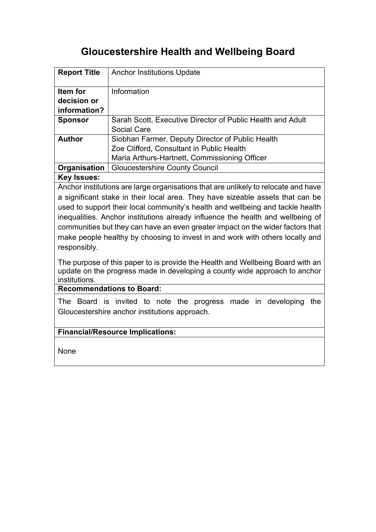# **Gloucestershire Health and Wellbeing Board**

| <b>Report Title</b>                                                                                                                                                                                                                                                                                                                                                                                                                                                                                                                                                                                                                                         | <b>Anchor Institutions Update</b>                                                                                                              |
|-------------------------------------------------------------------------------------------------------------------------------------------------------------------------------------------------------------------------------------------------------------------------------------------------------------------------------------------------------------------------------------------------------------------------------------------------------------------------------------------------------------------------------------------------------------------------------------------------------------------------------------------------------------|------------------------------------------------------------------------------------------------------------------------------------------------|
| Item for<br>decision or<br>information?                                                                                                                                                                                                                                                                                                                                                                                                                                                                                                                                                                                                                     | Information                                                                                                                                    |
| <b>Sponsor</b>                                                                                                                                                                                                                                                                                                                                                                                                                                                                                                                                                                                                                                              | Sarah Scott, Executive Director of Public Health and Adult<br>Social Care                                                                      |
| <b>Author</b>                                                                                                                                                                                                                                                                                                                                                                                                                                                                                                                                                                                                                                               | Siobhan Farmer, Deputy Director of Public Health<br>Zoe Clifford, Consultant in Public Health<br>Maria Arthurs-Hartnett, Commissioning Officer |
| Organisation                                                                                                                                                                                                                                                                                                                                                                                                                                                                                                                                                                                                                                                | <b>Gloucestershire County Council</b>                                                                                                          |
| <b>Key Issues:</b>                                                                                                                                                                                                                                                                                                                                                                                                                                                                                                                                                                                                                                          |                                                                                                                                                |
| a significant stake in their local area. They have sizeable assets that can be<br>used to support their local community's health and wellbeing and tackle health<br>inequalities. Anchor institutions already influence the health and wellbeing of<br>communities but they can have an even greater impact on the wider factors that<br>make people healthy by choosing to invest in and work with others locally and<br>responsibly.<br>The purpose of this paper to is provide the Health and Wellbeing Board with an<br>update on the progress made in developing a county wide approach to anchor<br>institutions.<br><b>Recommendations to Board:</b> |                                                                                                                                                |
|                                                                                                                                                                                                                                                                                                                                                                                                                                                                                                                                                                                                                                                             |                                                                                                                                                |
| The Board is invited to note the progress made in developing<br>the<br>Gloucestershire anchor institutions approach.                                                                                                                                                                                                                                                                                                                                                                                                                                                                                                                                        |                                                                                                                                                |
| <b>Financial/Resource Implications:</b>                                                                                                                                                                                                                                                                                                                                                                                                                                                                                                                                                                                                                     |                                                                                                                                                |
| None                                                                                                                                                                                                                                                                                                                                                                                                                                                                                                                                                                                                                                                        |                                                                                                                                                |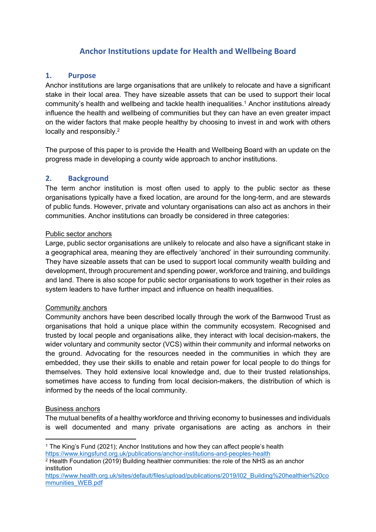## **Anchor Institutions update for Health and Wellbeing Board**

## **1. Purpose**

Anchor institutions are large organisations that are unlikely to relocate and have a significant stake in their local area. They have sizeable assets that can be used to support their local community's health and wellbeing and tackle health inequalities.<sup>1</sup> Anchor institutions already influence the health and wellbeing of communities but they can have an even greater impact on the wider factors that make people healthy by choosing to invest in and work with others locally and responsibly.<sup>2</sup>

The purpose of this paper to is provide the Health and Wellbeing Board with an update on the progress made in developing a county wide approach to anchor institutions.

#### **2. Background**

The term anchor institution is most often used to apply to the public sector as these organisations typically have a fixed location, are around for the long-term, and are stewards of public funds. However, private and voluntary organisations can also act as anchors in their communities. Anchor institutions can broadly be considered in three categories:

#### Public sector anchors

Large, public sector organisations are unlikely to relocate and also have a significant stake in a geographical area, meaning they are effectively 'anchored' in their surrounding community. They have sizeable assets that can be used to support local community wealth building and development, through procurement and spending power, workforce and training, and buildings and land. There is also scope for public sector organisations to work together in their roles as system leaders to have further impact and influence on health inequalities.

#### Community anchors

Community anchors have been described locally through the work of the Barnwood Trust as organisations that hold a unique place within the community ecosystem. Recognised and trusted by local people and organisations alike, they interact with local decision-makers, the wider voluntary and community sector (VCS) within their community and informal networks on the ground. Advocating for the resources needed in the communities in which they are embedded, they use their skills to enable and retain power for local people to do things for themselves. They hold extensive local knowledge and, due to their trusted relationships, sometimes have access to funding from local decision-makers, the distribution of which is informed by the needs of the local community.

#### Business anchors

The mutual benefits of a healthy workforce and thriving economy to businesses and individuals is well documented and many private organisations are acting as anchors in their

<sup>1</sup> The King's Fund (2021); Anchor Institutions and how they can affect people's health <https://www.kingsfund.org.uk/publications/anchor-institutions-and-peoples-health>

<sup>2</sup> Health Foundation (2019) Building healthier communities: the role of the NHS as an anchor institution

[https://www.health.org.uk/sites/default/files/upload/publications/2019/I02\\_Building%20healthier%20co](https://www.health.org.uk/sites/default/files/upload/publications/2019/I02_Building%20healthier%20communities_WEB.pdf) [mmunities\\_WEB.pdf](https://www.health.org.uk/sites/default/files/upload/publications/2019/I02_Building%20healthier%20communities_WEB.pdf)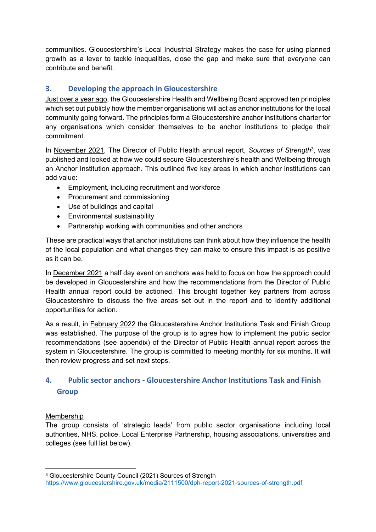communities. Gloucestershire's Local Industrial Strategy makes the case for using planned growth as a lever to tackle inequalities, close the gap and make sure that everyone can contribute and benefit.

## **3. Developing the approach in Gloucestershire**

Just over a year ago, the Gloucestershire Health and Wellbeing Board approved ten principles which set out publicly how the member organisations will act as anchor institutions for the local community going forward. The principles form a Gloucestershire anchor institutions charter for any organisations which consider themselves to be anchor institutions to pledge their commitment.

In November 2021, The Director of Public Health annual report, *Sources of Strength*<sup>3</sup> , was published and looked at how we could secure Gloucestershire's health and Wellbeing through an Anchor Institution approach. This outlined five key areas in which anchor institutions can add value:

- Employment, including recruitment and workforce
- Procurement and commissioning
- Use of buildings and capital
- Environmental sustainability
- Partnership working with communities and other anchors

These are practical ways that anchor institutions can think about how they influence the health of the local population and what changes they can make to ensure this impact is as positive as it can be.

In December 2021 a half day event on anchors was held to focus on how the approach could be developed in Gloucestershire and how the recommendations from the Director of Public Health annual report could be actioned. This brought together key partners from across Gloucestershire to discuss the five areas set out in the report and to identify additional opportunities for action.

As a result, in February 2022 the Gloucestershire Anchor Institutions Task and Finish Group was established. The purpose of the group is to agree how to implement the public sector recommendations (see appendix) of the Director of Public Health annual report across the system in Gloucestershire. The group is committed to meeting monthly for six months. It will then review progress and set next steps.

## **4. Public sector anchors - Gloucestershire Anchor Institutions Task and Finish Group**

## Membership

The group consists of 'strategic leads' from public sector organisations including local authorities, NHS, police, Local Enterprise Partnership, housing associations, universities and colleges (see full list below).

<sup>&</sup>lt;sup>3</sup> Gloucestershire County Council (2021) Sources of Strength <https://www.gloucestershire.gov.uk/media/2111500/dph-report-2021-sources-of-strength.pdf>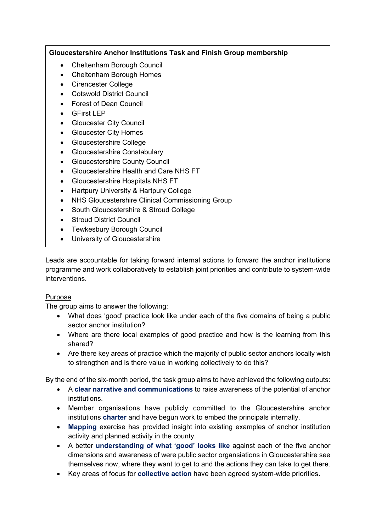## **Gloucestershire Anchor Institutions Task and Finish Group membership**

- Cheltenham Borough Council
- Cheltenham Borough Homes
- Cirencester College
- Cotswold District Council
- Forest of Dean Council
- GFirst LEP
- Gloucester City Council
- Gloucester City Homes
- Gloucestershire College
- Gloucestershire Constabulary
- Gloucestershire County Council
- Gloucestershire Health and Care NHS FT
- Gloucestershire Hospitals NHS FT
- Hartpury University & Hartpury College
- NHS Gloucestershire Clinical Commissioning Group
- South Gloucestershire & Stroud College
- Stroud District Council
- Tewkesbury Borough Council
- University of Gloucestershire

Leads are accountable for taking forward internal actions to forward the anchor institutions programme and work collaboratively to establish joint priorities and contribute to system-wide interventions.

## Purpose

The group aims to answer the following:

- What does 'good' practice look like under each of the five domains of being a public sector anchor institution?
- Where are there local examples of good practice and how is the learning from this shared?
- Are there key areas of practice which the majority of public sector anchors locally wish to strengthen and is there value in working collectively to do this?

By the end of the six-month period, the task group aims to have achieved the following outputs:

- A **clear narrative and communications** to raise awareness of the potential of anchor institutions.
- Member organisations have publicly committed to the Gloucestershire anchor institutions **charter** and have begun work to embed the principals internally.
- **Mapping** exercise has provided insight into existing examples of anchor institution activity and planned activity in the county.
- A better **understanding of what 'good' looks like** against each of the five anchor dimensions and awareness of were public sector organsiations in Gloucestershire see themselves now, where they want to get to and the actions they can take to get there.
- Key areas of focus for **collective action** have been agreed system-wide priorities.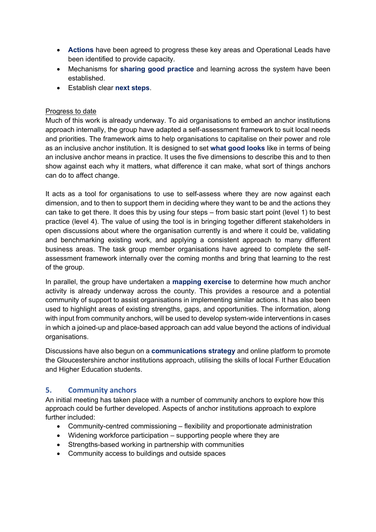- **Actions** have been agreed to progress these key areas and Operational Leads have been identified to provide capacity.
- Mechanisms for **sharing good practice** and learning across the system have been established.
- Establish clear **next steps**.

## Progress to date

Much of this work is already underway. To aid organisations to embed an anchor institutions approach internally, the group have adapted a self-assessment framework to suit local needs and priorities. The framework aims to help organisations to capitalise on their power and role as an inclusive anchor institution. It is designed to set **what good looks** like in terms of being an inclusive anchor means in practice. It uses the five dimensions to describe this and to then show against each why it matters, what difference it can make, what sort of things anchors can do to affect change.

It acts as a tool for organisations to use to self-assess where they are now against each dimension, and to then to support them in deciding where they want to be and the actions they can take to get there. It does this by using four steps – from basic start point (level 1) to best practice (level 4). The value of using the tool is in bringing together different stakeholders in open discussions about where the organisation currently is and where it could be, validating and benchmarking existing work, and applying a consistent approach to many different business areas. The task group member organisations have agreed to complete the selfassessment framework internally over the coming months and bring that learning to the rest of the group.

In parallel, the group have undertaken a **mapping exercise** to determine how much anchor activity is already underway across the county. This provides a resource and a potential community of support to assist organisations in implementing similar actions. It has also been used to highlight areas of existing strengths, gaps, and opportunities. The information, along with input from community anchors, will be used to develop system-wide interventions in cases in which a joined-up and place-based approach can add value beyond the actions of individual organisations.

Discussions have also begun on a **communications strategy** and online platform to promote the Gloucestershire anchor institutions approach, utilising the skills of local Further Education and Higher Education students.

## **5. Community anchors**

An initial meeting has taken place with a number of community anchors to explore how this approach could be further developed. Aspects of anchor institutions approach to explore further included:

- Community-centred commissioning flexibility and proportionate administration
- Widening workforce participation supporting people where they are
- Strengths-based working in partnership with communities
- Community access to buildings and outside spaces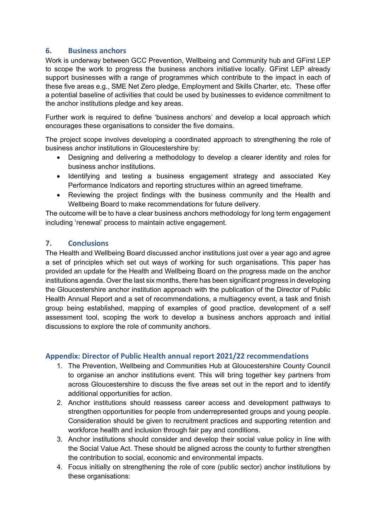## **6. Business anchors**

Work is underway between GCC Prevention, Wellbeing and Community hub and GFirst LEP to scope the work to progress the business anchors initiative locally. GFirst LEP already support businesses with a range of programmes which contribute to the impact in each of these five areas e.g., SME Net Zero pledge, Employment and Skills Charter, etc. These offer a potential baseline of activities that could be used by businesses to evidence commitment to the anchor institutions pledge and key areas.

Further work is required to define 'business anchors' and develop a local approach which encourages these organisations to consider the five domains.

The project scope involves developing a coordinated approach to strengthening the role of business anchor institutions in Gloucestershire by:

- Designing and delivering a methodology to develop a clearer identity and roles for business anchor institutions.
- Identifying and testing a business engagement strategy and associated Key Performance Indicators and reporting structures within an agreed timeframe.
- Reviewing the project findings with the business community and the Health and Wellbeing Board to make recommendations for future delivery.

The outcome will be to have a clear business anchors methodology for long term engagement including 'renewal' process to maintain active engagement.

## **7. Conclusions**

The Health and Wellbeing Board discussed anchor institutions just over a year ago and agree a set of principles which set out ways of working for such organisations. This paper has provided an update for the Health and Wellbeing Board on the progress made on the anchor institutions agenda. Over the last six months, there has been significant progress in developing the Gloucestershire anchor institution approach with the publication of the Director of Public Health Annual Report and a set of recommendations, a multiagency event, a task and finish group being established, mapping of examples of good practice, development of a self assessment tool, scoping the work to develop a business anchors approach and initial discussions to explore the role of community anchors.

## **Appendix: Director of Public Health annual report 2021/22 recommendations**

- 1. The Prevention, Wellbeing and Communities Hub at Gloucestershire County Council to organise an anchor institutions event. This will bring together key partners from across Gloucestershire to discuss the five areas set out in the report and to identify additional opportunities for action.
- 2. Anchor institutions should reassess career access and development pathways to strengthen opportunities for people from underrepresented groups and young people. Consideration should be given to recruitment practices and supporting retention and workforce health and inclusion through fair pay and conditions.
- 3. Anchor institutions should consider and develop their social value policy in line with the Social Value Act. These should be aligned across the county to further strengthen the contribution to social, economic and environmental impacts.
- 4. Focus initially on strengthening the role of core (public sector) anchor institutions by these organisations: